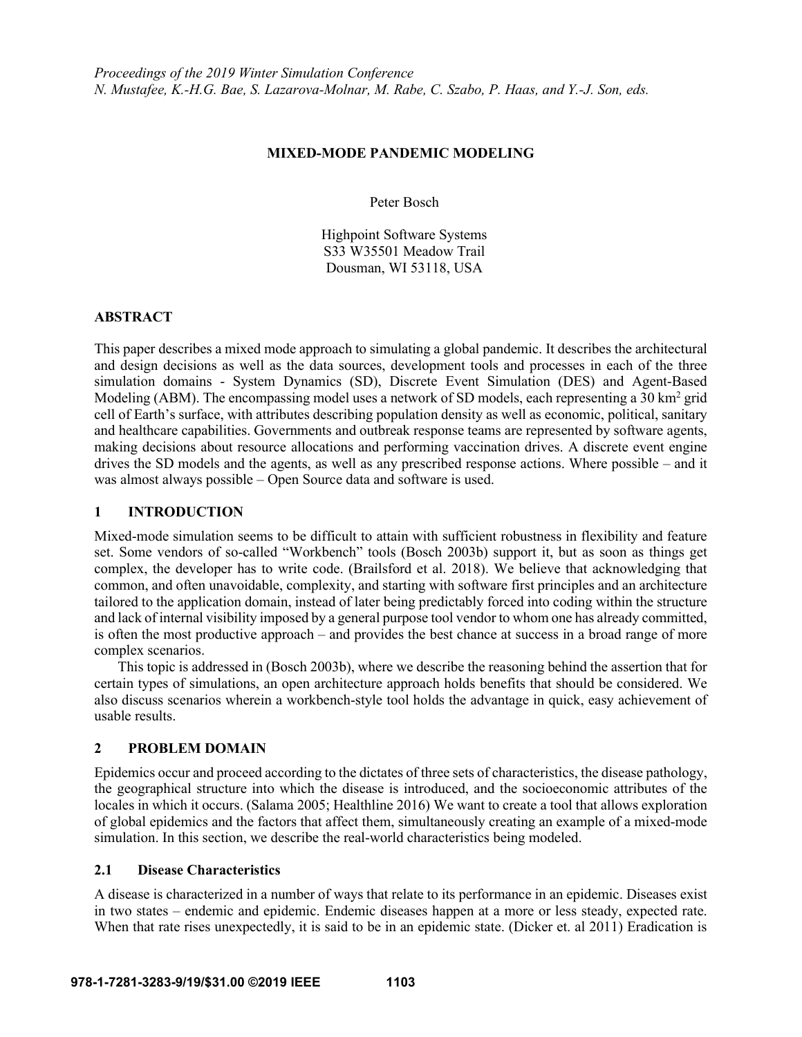## **MIXED-MODE PANDEMIC MODELING**

Peter Bosch

Highpoint Software Systems S33 W35501 Meadow Trail Dousman, WI 53118, USA

## **ABSTRACT**

This paper describes a mixed mode approach to simulating a global pandemic. It describes the architectural and design decisions as well as the data sources, development tools and processes in each of the three simulation domains - System Dynamics (SD), Discrete Event Simulation (DES) and Agent-Based Modeling (ABM). The encompassing model uses a network of SD models, each representing a 30 km<sup>2</sup> grid cell of Earth's surface, with attributes describing population density as well as economic, political, sanitary and healthcare capabilities. Governments and outbreak response teams are represented by software agents, making decisions about resource allocations and performing vaccination drives. A discrete event engine drives the SD models and the agents, as well as any prescribed response actions. Where possible – and it was almost always possible – Open Source data and software is used.

# **1 INTRODUCTION**

Mixed-mode simulation seems to be difficult to attain with sufficient robustness in flexibility and feature set. Some vendors of so-called "Workbench" tools (Bosch 2003b) support it, but as soon as things get complex, the developer has to write code. (Brailsford et al. 2018). We believe that acknowledging that common, and often unavoidable, complexity, and starting with software first principles and an architecture tailored to the application domain, instead of later being predictably forced into coding within the structure and lack of internal visibility imposed by a general purpose tool vendor to whom one has already committed, is often the most productive approach – and provides the best chance at success in a broad range of more complex scenarios.

This topic is addressed in (Bosch 2003b), where we describe the reasoning behind the assertion that for certain types of simulations, an open architecture approach holds benefits that should be considered. We also discuss scenarios wherein a workbench-style tool holds the advantage in quick, easy achievement of usable results.

# **2 PROBLEM DOMAIN**

Epidemics occur and proceed according to the dictates of three sets of characteristics, the disease pathology, the geographical structure into which the disease is introduced, and the socioeconomic attributes of the locales in which it occurs. (Salama 2005; Healthline 2016) We want to create a tool that allows exploration of global epidemics and the factors that affect them, simultaneously creating an example of a mixed-mode simulation. In this section, we describe the real-world characteristics being modeled.

# **2.1 Disease Characteristics**

A disease is characterized in a number of ways that relate to its performance in an epidemic. Diseases exist in two states – endemic and epidemic. Endemic diseases happen at a more or less steady, expected rate. When that rate rises unexpectedly, it is said to be in an epidemic state. (Dicker et. al 2011) Eradication is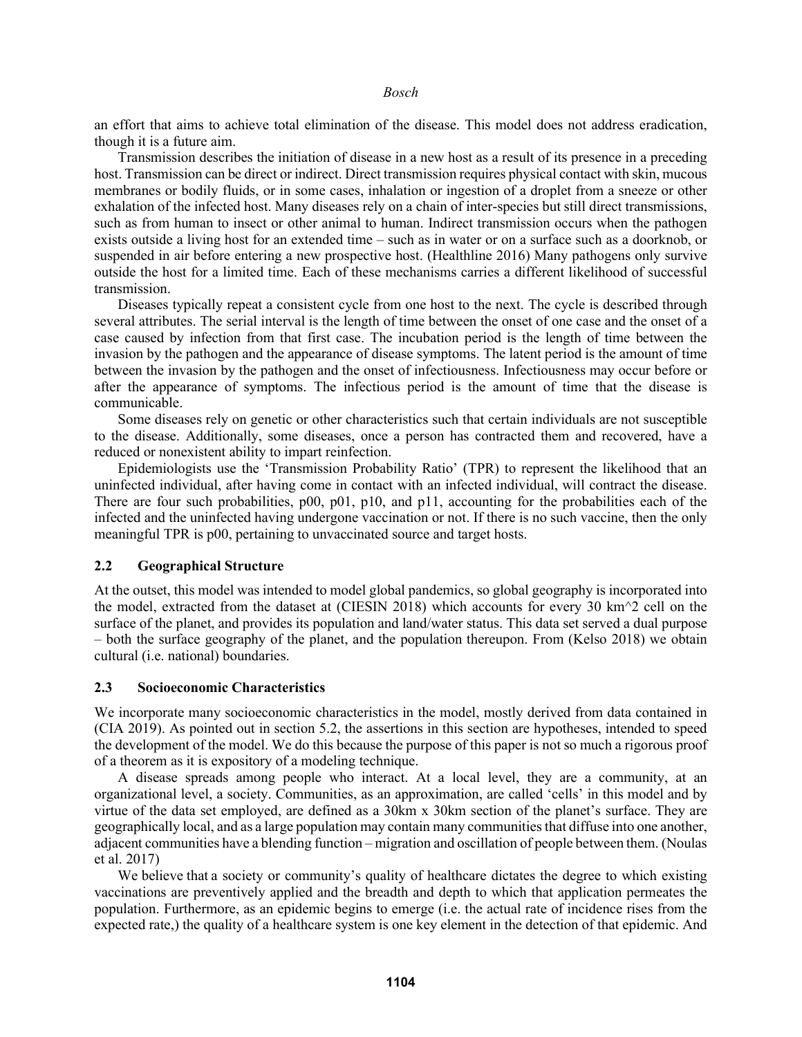an effort that aims to achieve total elimination of the disease. This model does not address eradication, though it is a future aim.

Transmission describes the initiation of disease in a new host as a result of its presence in a preceding host. Transmission can be direct or indirect. Direct transmission requires physical contact with skin, mucous membranes or bodily fluids, or in some cases, inhalation or ingestion of a droplet from a sneeze or other exhalation of the infected host. Many diseases rely on a chain of inter-species but still direct transmissions, such as from human to insect or other animal to human. Indirect transmission occurs when the pathogen exists outside a living host for an extended time – such as in water or on a surface such as a doorknob, or suspended in air before entering a new prospective host. (Healthline 2016) Many pathogens only survive outside the host for a limited time. Each of these mechanisms carries a different likelihood of successful transmission.

Diseases typically repeat a consistent cycle from one host to the next. The cycle is described through several attributes. The serial interval is the length of time between the onset of one case and the onset of a case caused by infection from that first case. The incubation period is the length of time between the invasion by the pathogen and the appearance of disease symptoms. The latent period is the amount of time between the invasion by the pathogen and the onset of infectiousness. Infectiousness may occur before or after the appearance of symptoms. The infectious period is the amount of time that the disease is communicable.

Some diseases rely on genetic or other characteristics such that certain individuals are not susceptible to the disease. Additionally, some diseases, once a person has contracted them and recovered, have a reduced or nonexistent ability to impart reinfection.

Epidemiologists use the 'Transmission Probability Ratio' (TPR) to represent the likelihood that an uninfected individual, after having come in contact with an infected individual, will contract the disease. There are four such probabilities, p00, p01, p10, and p11, accounting for the probabilities each of the infected and the uninfected having undergone vaccination or not. If there is no such vaccine, then the only meaningful TPR is p00, pertaining to unvaccinated source and target hosts.

### **2.2 Geographical Structure**

At the outset, this model was intended to model global pandemics, so global geography is incorporated into the model, extracted from the dataset at (CIESIN 2018) which accounts for every 30 km $\textdegree$ 2 cell on the surface of the planet, and provides its population and land/water status. This data set served a dual purpose – both the surface geography of the planet, and the population thereupon. From (Kelso 2018) we obtain cultural (i.e. national) boundaries.

## **2.3 Socioeconomic Characteristics**

We incorporate many socioeconomic characteristics in the model, mostly derived from data contained in (CIA 2019). As pointed out in section 5.2, the assertions in this section are hypotheses, intended to speed the development of the model. We do this because the purpose of this paper is not so much a rigorous proof of a theorem as it is expository of a modeling technique.

A disease spreads among people who interact. At a local level, they are a community, at an organizational level, a society. Communities, as an approximation, are called 'cells' in this model and by virtue of the data set employed, are defined as a 30km x 30km section of the planet's surface. They are geographically local, and as a large population may contain many communities that diffuse into one another, adjacent communities have a blending function – migration and oscillation of people between them. (Noulas et al. 2017)

We believe that a society or community's quality of healthcare dictates the degree to which existing vaccinations are preventively applied and the breadth and depth to which that application permeates the population. Furthermore, as an epidemic begins to emerge (i.e. the actual rate of incidence rises from the expected rate,) the quality of a healthcare system is one key element in the detection of that epidemic. And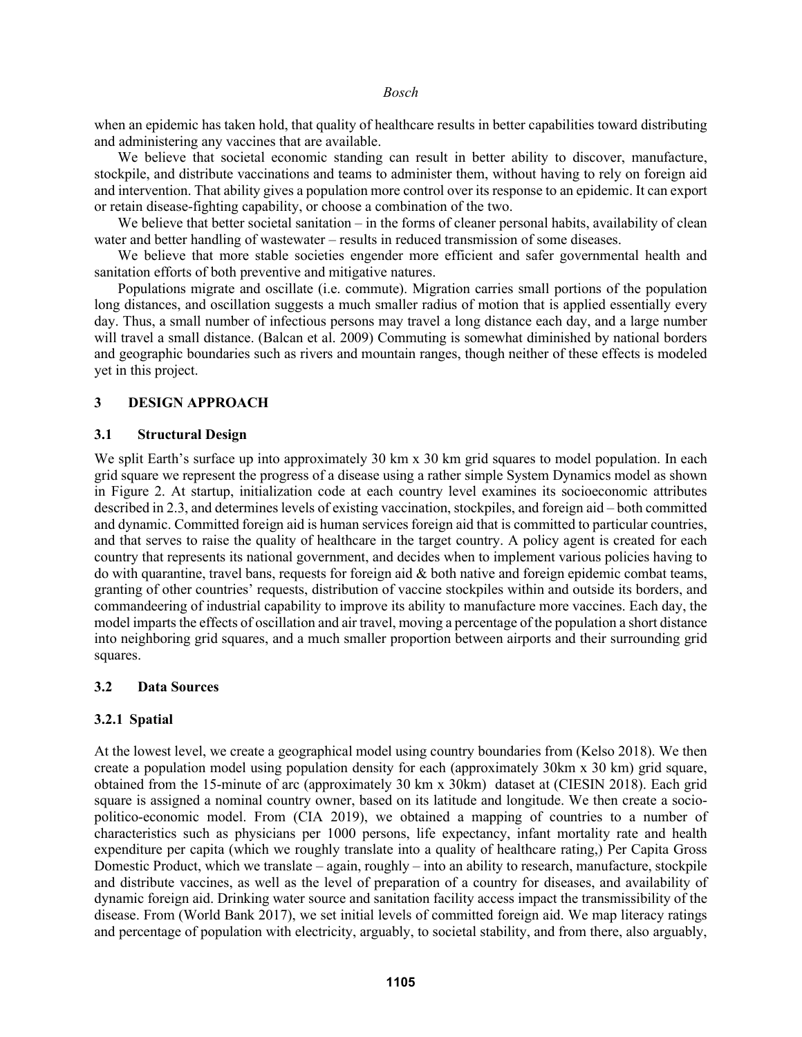when an epidemic has taken hold, that quality of healthcare results in better capabilities toward distributing and administering any vaccines that are available.

We believe that societal economic standing can result in better ability to discover, manufacture, stockpile, and distribute vaccinations and teams to administer them, without having to rely on foreign aid and intervention. That ability gives a population more control over its response to an epidemic. It can export or retain disease-fighting capability, or choose a combination of the two.

We believe that better societal sanitation – in the forms of cleaner personal habits, availability of clean water and better handling of wastewater – results in reduced transmission of some diseases.

We believe that more stable societies engender more efficient and safer governmental health and sanitation efforts of both preventive and mitigative natures.

Populations migrate and oscillate (i.e. commute). Migration carries small portions of the population long distances, and oscillation suggests a much smaller radius of motion that is applied essentially every day. Thus, a small number of infectious persons may travel a long distance each day, and a large number will travel a small distance. (Balcan et al. 2009) Commuting is somewhat diminished by national borders and geographic boundaries such as rivers and mountain ranges, though neither of these effects is modeled yet in this project.

# **3 DESIGN APPROACH**

#### **3.1 Structural Design**

We split Earth's surface up into approximately 30 km x 30 km grid squares to model population. In each grid square we represent the progress of a disease using a rather simple System Dynamics model as shown in Figure 2. At startup, initialization code at each country level examines its socioeconomic attributes described in 2.3, and determines levels of existing vaccination, stockpiles, and foreign aid – both committed and dynamic. Committed foreign aid is human services foreign aid that is committed to particular countries, and that serves to raise the quality of healthcare in the target country. A policy agent is created for each country that represents its national government, and decides when to implement various policies having to do with quarantine, travel bans, requests for foreign aid  $\&$  both native and foreign epidemic combat teams, granting of other countries' requests, distribution of vaccine stockpiles within and outside its borders, and commandeering of industrial capability to improve its ability to manufacture more vaccines. Each day, the model imparts the effects of oscillation and air travel, moving a percentage of the population a short distance into neighboring grid squares, and a much smaller proportion between airports and their surrounding grid squares.

### **3.2 Data Sources**

### **3.2.1 Spatial**

At the lowest level, we create a geographical model using country boundaries from (Kelso 2018). We then create a population model using population density for each (approximately 30km x 30 km) grid square, obtained from the 15-minute of arc (approximately 30 km x 30km) dataset at (CIESIN 2018). Each grid square is assigned a nominal country owner, based on its latitude and longitude. We then create a sociopolitico-economic model. From (CIA 2019), we obtained a mapping of countries to a number of characteristics such as physicians per 1000 persons, life expectancy, infant mortality rate and health expenditure per capita (which we roughly translate into a quality of healthcare rating,) Per Capita Gross Domestic Product, which we translate – again, roughly – into an ability to research, manufacture, stockpile and distribute vaccines, as well as the level of preparation of a country for diseases, and availability of dynamic foreign aid. Drinking water source and sanitation facility access impact the transmissibility of the disease. From (World Bank 2017), we set initial levels of committed foreign aid. We map literacy ratings and percentage of population with electricity, arguably, to societal stability, and from there, also arguably,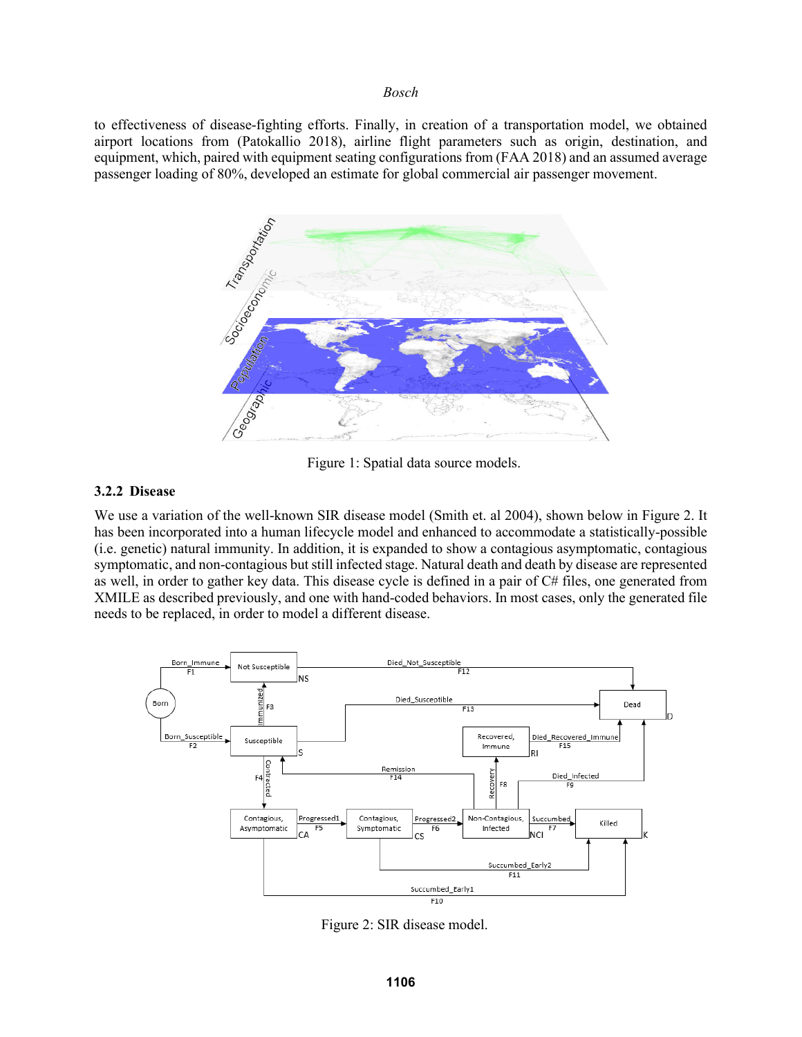to effectiveness of disease-fighting efforts. Finally, in creation of a transportation model, we obtained airport locations from (Patokallio 2018), airline flight parameters such as origin, destination, and equipment, which, paired with equipment seating configurations from (FAA 2018) and an assumed average passenger loading of 80%, developed an estimate for global commercial air passenger movement.



Figure 1: Spatial data source models.

#### **3.2.2 Disease**

We use a variation of the well-known SIR disease model (Smith et. al 2004), shown below in Figure 2. It has been incorporated into a human lifecycle model and enhanced to accommodate a statistically-possible (i.e. genetic) natural immunity. In addition, it is expanded to show a contagious asymptomatic, contagious symptomatic, and non-contagious but still infected stage. Natural death and death by disease are represented as well, in order to gather key data. This disease cycle is defined in a pair of C# files, one generated from XMILE as described previously, and one with hand-coded behaviors. In most cases, only the generated file needs to be replaced, in order to model a different disease.



Figure 2: SIR disease model.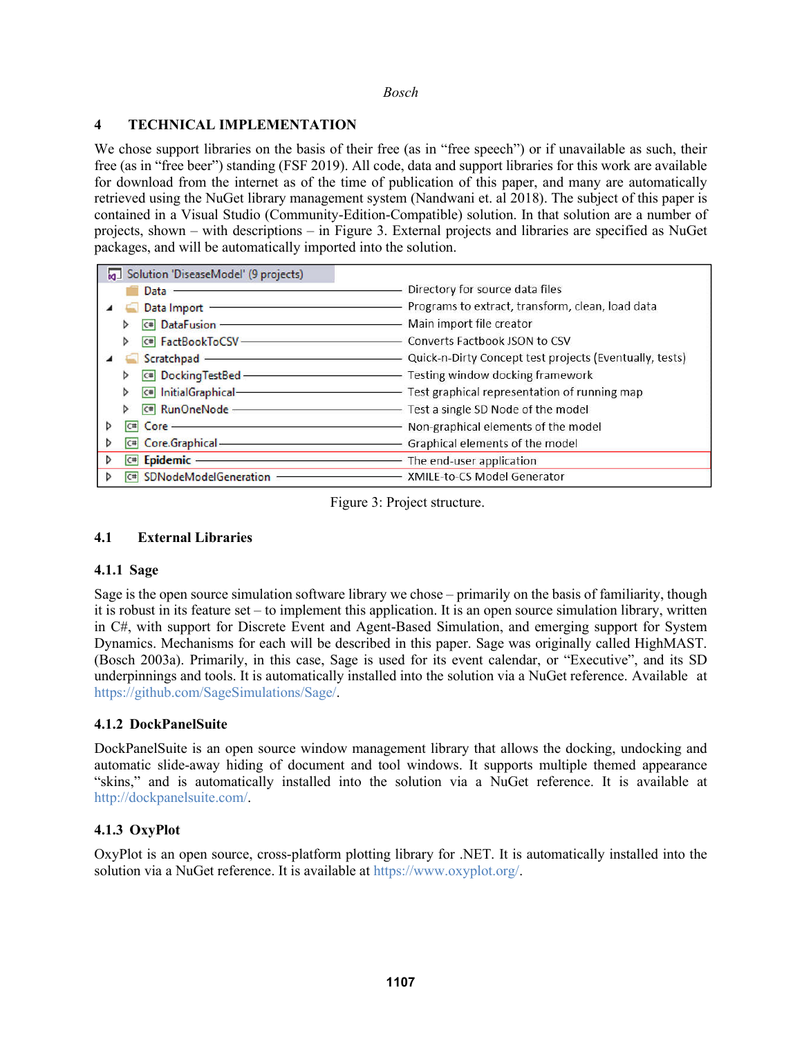# **4 TECHNICAL IMPLEMENTATION**

We chose support libraries on the basis of their free (as in "free speech") or if unavailable as such, their free (as in "free beer") standing (FSF 2019). All code, data and support libraries for this work are available for download from the internet as of the time of publication of this paper, and many are automatically retrieved using the NuGet library management system (Nandwani et. al 2018). The subject of this paper is contained in a Visual Studio (Community-Edition-Compatible) solution. In that solution are a number of projects, shown – with descriptions – in Figure 3. External projects and libraries are specified as NuGet packages, and will be automatically imported into the solution.

| Solution 'DiseaseModel' (9 projects) |                                                                                                                       |
|--------------------------------------|-----------------------------------------------------------------------------------------------------------------------|
| Data                                 | Directory for source data files                                                                                       |
| Data Import -                        | Programs to extract, transform, clean, load data                                                                      |
| $c$ # DataFusion -                   | Main import file creator                                                                                              |
| C# FactBookToCSV-                    | Converts Factbook JSON to CSV                                                                                         |
| Scratchpad -                         | Quick-n-Dirty Concept test projects (Eventually, tests)                                                               |
| C# DockingTestBed-                   | Testing window docking framework                                                                                      |
| C# InitialGraphical-                 | - Test graphical representation of running map                                                                        |
|                                      | <b>C# RunOneNode - C# RunOneNode - C# RUNA C# RUNA C# C# RUNA C# C# RUNA C# C# RUNA C# C# C# C# C# C# C# C# C# C#</b> |
| Core -<br>$ct$                       | - Non-graphical elements of the model                                                                                 |
| Core.Graphical-<br>C#                | - Graphical elements of the model                                                                                     |
| Epidemic -<br>$ C^{*} $              | The end-user application<br>$-$                                                                                       |
| SDNodeModelGeneration                | XMILE-to-CS Model Generator                                                                                           |

Figure 3: Project structure.

# **4.1 External Libraries**

# **4.1.1 Sage**

Sage is the open source simulation software library we chose – primarily on the basis of familiarity, though it is robust in its feature set – to implement this application. It is an open source simulation library, written in C#, with support for Discrete Event and Agent-Based Simulation, and emerging support for System Dynamics. Mechanisms for each will be described in this paper. Sage was originally called HighMAST. (Bosch 2003a). Primarily, in this case, Sage is used for its event calendar, or "Executive", and its SD underpinnings and tools. It is automatically installed into the solution via a NuGet reference. Available at https://github.com/SageSimulations/Sage/.

# **4.1.2 DockPanelSuite**

DockPanelSuite is an open source window management library that allows the docking, undocking and automatic slide-away hiding of document and tool windows. It supports multiple themed appearance "skins," and is automatically installed into the solution via a NuGet reference. It is available at http://dockpanelsuite.com/.

# **4.1.3 OxyPlot**

OxyPlot is an open source, cross-platform plotting library for .NET. It is automatically installed into the solution via a NuGet reference. It is available at https://www.oxyplot.org/.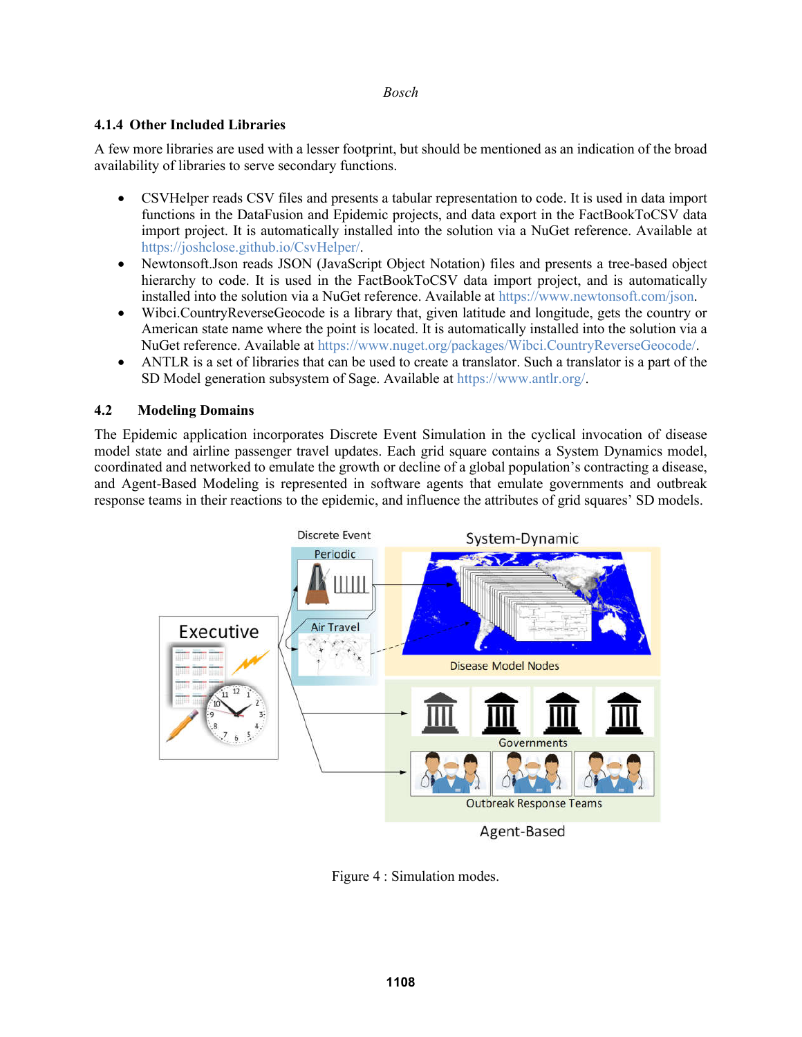# **4.1.4 Other Included Libraries**

A few more libraries are used with a lesser footprint, but should be mentioned as an indication of the broad availability of libraries to serve secondary functions.

- CSVHelper reads CSV files and presents a tabular representation to code. It is used in data import functions in the DataFusion and Epidemic projects, and data export in the FactBookToCSV data import project. It is automatically installed into the solution via a NuGet reference. Available at https://joshclose.github.io/CsvHelper/.
- Newtonsoft.Json reads JSON (JavaScript Object Notation) files and presents a tree-based object hierarchy to code. It is used in the FactBookToCSV data import project, and is automatically installed into the solution via a NuGet reference. Available at https://www.newtonsoft.com/json.
- Wibci.CountryReverseGeocode is a library that, given latitude and longitude, gets the country or American state name where the point is located. It is automatically installed into the solution via a NuGet reference. Available at https://www.nuget.org/packages/Wibci.CountryReverseGeocode/.
- ANTLR is a set of libraries that can be used to create a translator. Such a translator is a part of the SD Model generation subsystem of Sage. Available at https://www.antlr.org/.

# **4.2 Modeling Domains**

The Epidemic application incorporates Discrete Event Simulation in the cyclical invocation of disease model state and airline passenger travel updates. Each grid square contains a System Dynamics model, coordinated and networked to emulate the growth or decline of a global population's contracting a disease, and Agent-Based Modeling is represented in software agents that emulate governments and outbreak response teams in their reactions to the epidemic, and influence the attributes of grid squares' SD models.



Figure 4 : Simulation modes.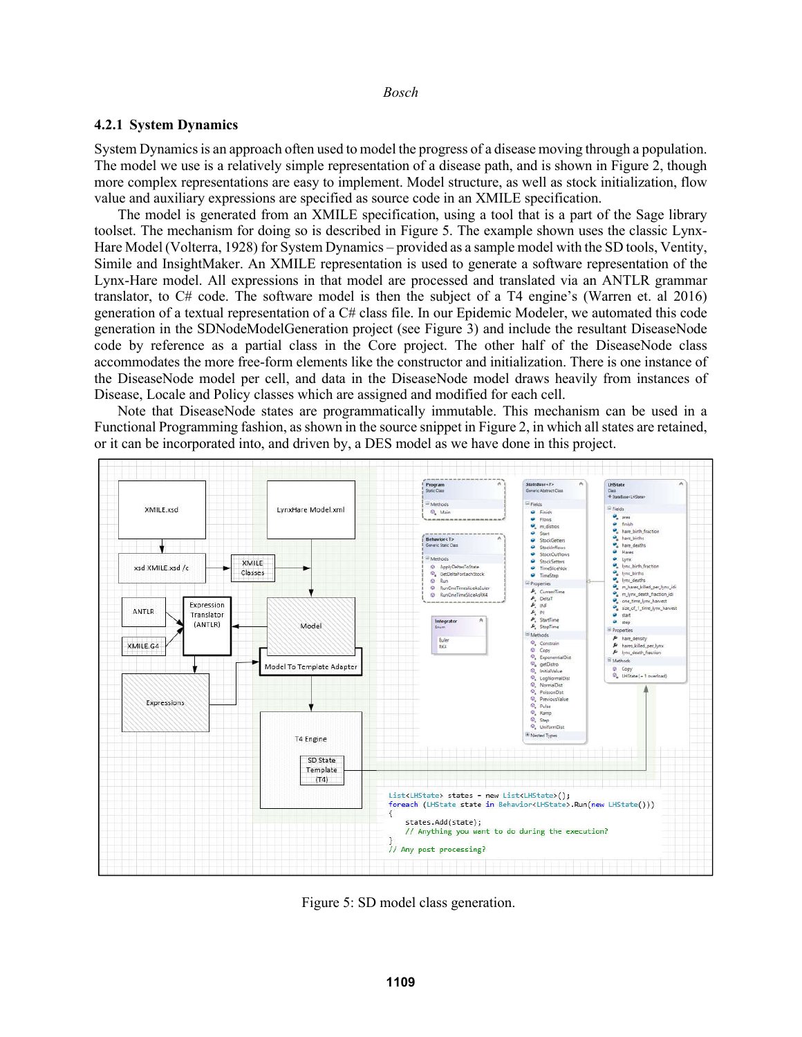### **4.2.1 System Dynamics**

System Dynamics is an approach often used to model the progress of a disease moving through a population. The model we use is a relatively simple representation of a disease path, and is shown in Figure 2, though more complex representations are easy to implement. Model structure, as well as stock initialization, flow value and auxiliary expressions are specified as source code in an XMILE specification.

The model is generated from an XMILE specification, using a tool that is a part of the Sage library toolset. The mechanism for doing so is described in Figure 5. The example shown uses the classic Lynx-Hare Model (Volterra, 1928) for System Dynamics – provided as a sample model with the SD tools, Ventity, Simile and InsightMaker. An XMILE representation is used to generate a software representation of the Lynx-Hare model. All expressions in that model are processed and translated via an ANTLR grammar translator, to C# code. The software model is then the subject of a T4 engine's (Warren et. al 2016) generation of a textual representation of a C# class file. In our Epidemic Modeler, we automated this code generation in the SDNodeModelGeneration project (see Figure 3) and include the resultant DiseaseNode code by reference as a partial class in the Core project. The other half of the DiseaseNode class accommodates the more free-form elements like the constructor and initialization. There is one instance of the DiseaseNode model per cell, and data in the DiseaseNode model draws heavily from instances of Disease, Locale and Policy classes which are assigned and modified for each cell.

Note that DiseaseNode states are programmatically immutable. This mechanism can be used in a Functional Programming fashion, as shown in the source snippet in Figure 2, in which all states are retained, or it can be incorporated into, and driven by, a DES model as we have done in this project.



Figure 5: SD model class generation.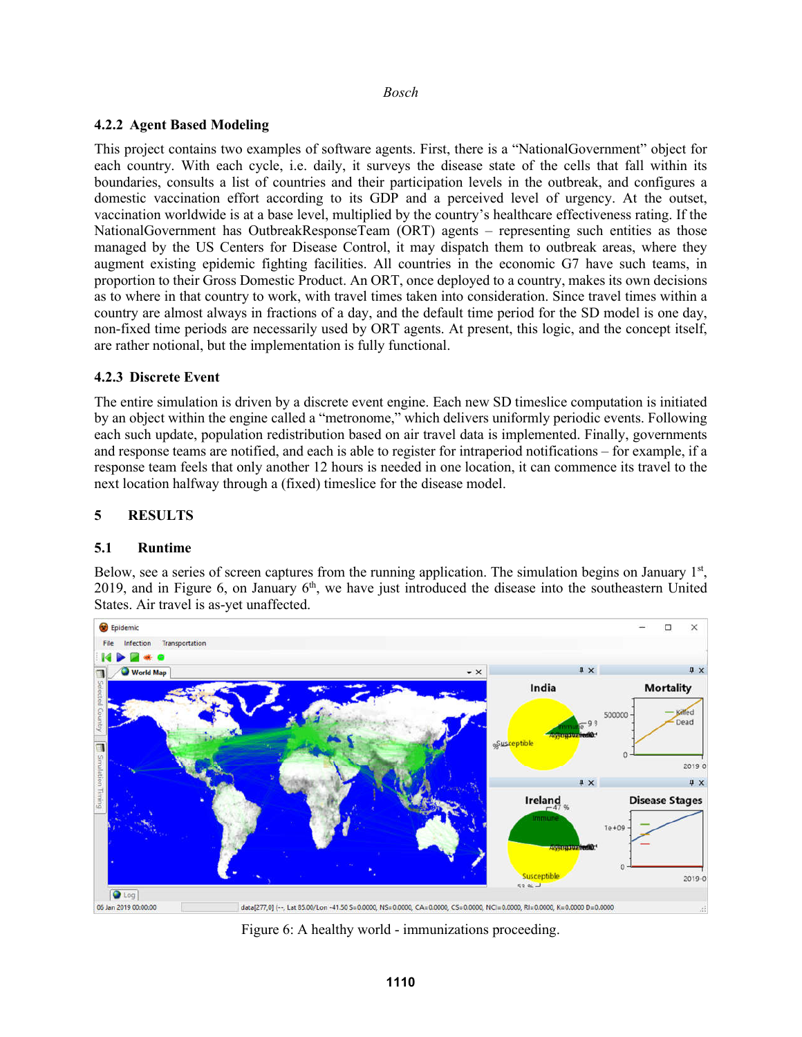# **4.2.2 Agent Based Modeling**

This project contains two examples of software agents. First, there is a "NationalGovernment" object for each country. With each cycle, i.e. daily, it surveys the disease state of the cells that fall within its boundaries, consults a list of countries and their participation levels in the outbreak, and configures a domestic vaccination effort according to its GDP and a perceived level of urgency. At the outset, vaccination worldwide is at a base level, multiplied by the country's healthcare effectiveness rating. If the NationalGovernment has OutbreakResponseTeam (ORT) agents – representing such entities as those managed by the US Centers for Disease Control, it may dispatch them to outbreak areas, where they augment existing epidemic fighting facilities. All countries in the economic G7 have such teams, in proportion to their Gross Domestic Product. An ORT, once deployed to a country, makes its own decisions as to where in that country to work, with travel times taken into consideration. Since travel times within a country are almost always in fractions of a day, and the default time period for the SD model is one day, non-fixed time periods are necessarily used by ORT agents. At present, this logic, and the concept itself, are rather notional, but the implementation is fully functional.

# **4.2.3 Discrete Event**

The entire simulation is driven by a discrete event engine. Each new SD timeslice computation is initiated by an object within the engine called a "metronome," which delivers uniformly periodic events. Following each such update, population redistribution based on air travel data is implemented. Finally, governments and response teams are notified, and each is able to register for intraperiod notifications – for example, if a response team feels that only another 12 hours is needed in one location, it can commence its travel to the next location halfway through a (fixed) timeslice for the disease model.

# **5 RESULTS**

# **5.1 Runtime**

Below, see a series of screen captures from the running application. The simulation begins on January  $1<sup>st</sup>$ , 2019, and in Figure 6, on January  $6<sup>th</sup>$ , we have just introduced the disease into the southeastern United States. Air travel is as-yet unaffected.



Figure 6: A healthy world - immunizations proceeding.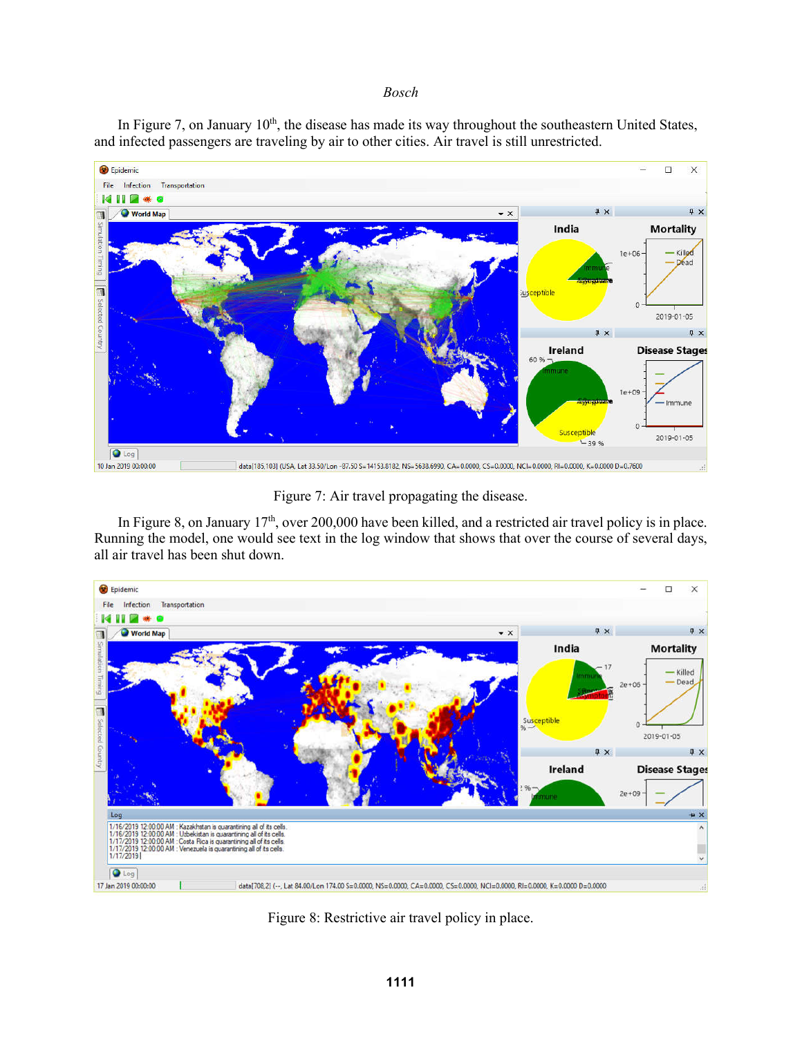In Figure 7, on January 10<sup>th</sup>, the disease has made its way throughout the southeastern United States, and infected passengers are traveling by air to other cities. Air travel is still unrestricted.



Figure 7: Air travel propagating the disease.

In Figure 8, on January 17<sup>th</sup>, over 200,000 have been killed, and a restricted air travel policy is in place. Running the model, one would see text in the log window that shows that over the course of several days, all air travel has been shut down.



Figure 8: Restrictive air travel policy in place.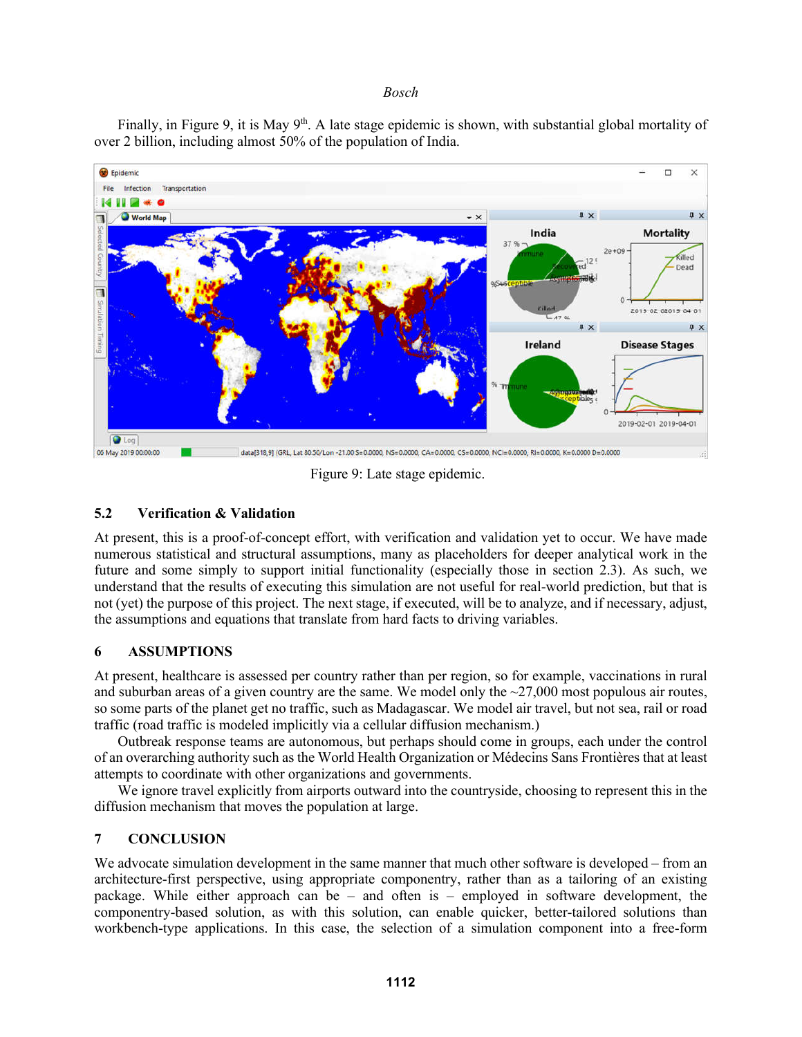Finally, in Figure 9, it is May  $9<sup>th</sup>$ . A late stage epidemic is shown, with substantial global mortality of over 2 billion, including almost 50% of the population of India.



Figure 9: Late stage epidemic.

# **5.2 Verification & Validation**

At present, this is a proof-of-concept effort, with verification and validation yet to occur. We have made numerous statistical and structural assumptions, many as placeholders for deeper analytical work in the future and some simply to support initial functionality (especially those in section 2.3). As such, we understand that the results of executing this simulation are not useful for real-world prediction, but that is not (yet) the purpose of this project. The next stage, if executed, will be to analyze, and if necessary, adjust, the assumptions and equations that translate from hard facts to driving variables.

## **6 ASSUMPTIONS**

At present, healthcare is assessed per country rather than per region, so for example, vaccinations in rural and suburban areas of a given country are the same. We model only the  $\sim$ 27,000 most populous air routes, so some parts of the planet get no traffic, such as Madagascar. We model air travel, but not sea, rail or road traffic (road traffic is modeled implicitly via a cellular diffusion mechanism.)

Outbreak response teams are autonomous, but perhaps should come in groups, each under the control of an overarching authority such as the World Health Organization or Médecins Sans Frontières that at least attempts to coordinate with other organizations and governments.

We ignore travel explicitly from airports outward into the countryside, choosing to represent this in the diffusion mechanism that moves the population at large.

## **7 CONCLUSION**

We advocate simulation development in the same manner that much other software is developed – from an architecture-first perspective, using appropriate componentry, rather than as a tailoring of an existing package. While either approach can be – and often is – employed in software development, the componentry-based solution, as with this solution, can enable quicker, better-tailored solutions than workbench-type applications. In this case, the selection of a simulation component into a free-form